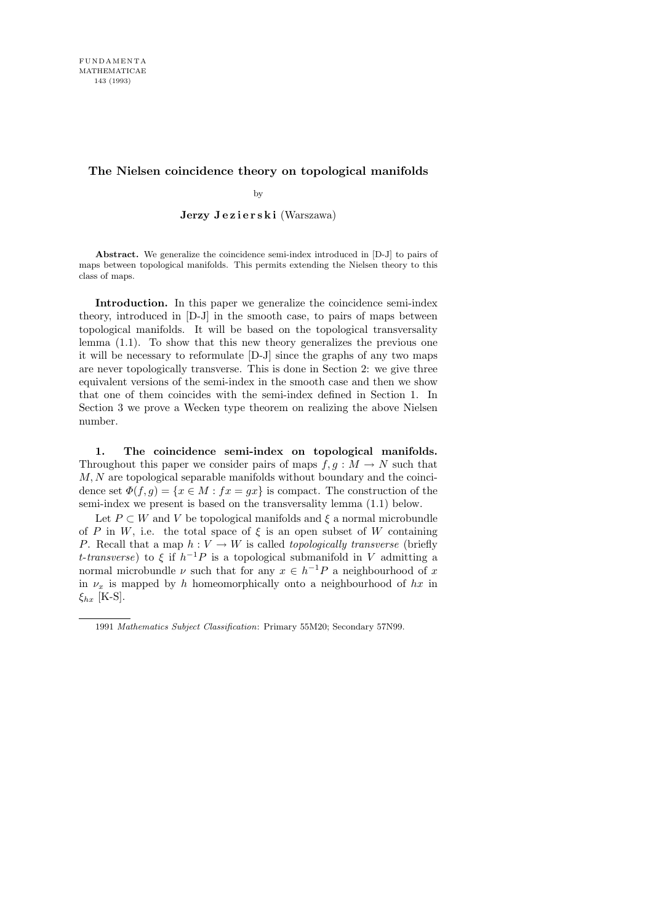# **The Nielsen coincidence theory on topological manifolds**

by

Jerzy Jezierski (Warszawa)

**Abstract.** We generalize the coincidence semi-index introduced in [D-J] to pairs of maps between topological manifolds. This permits extending the Nielsen theory to this class of maps.

Introduction. In this paper we generalize the coincidence semi-index theory, introduced in [D-J] in the smooth case, to pairs of maps between topological manifolds. It will be based on the topological transversality lemma (1.1). To show that this new theory generalizes the previous one it will be necessary to reformulate [D-J] since the graphs of any two maps are never topologically transverse. This is done in Section 2: we give three equivalent versions of the semi-index in the smooth case and then we show that one of them coincides with the semi-index defined in Section 1. In Section 3 we prove a Wecken type theorem on realizing the above Nielsen number.

1. The coincidence semi-index on topological manifolds. Throughout this paper we consider pairs of maps  $f, g : M \to N$  such that  $M, N$  are topological separable manifolds without boundary and the coincidence set  $\Phi(f,g) = \{x \in M : fx = gx\}$  is compact. The construction of the semi-index we present is based on the transversality lemma (1.1) below.

Let  $P \subset W$  and V be topological manifolds and  $\xi$  a normal microbundle of P in W, i.e. the total space of  $\xi$  is an open subset of W containing P. Recall that a map  $h: V \to W$  is called *topologically transverse* (briefly *t*-transverse) to  $\xi$  if  $h^{-1}P$  is a topological submanifold in V admitting a normal microbundle  $\nu$  such that for any  $x \in h^{-1}P$  a neighbourhood of x in  $\nu_x$  is mapped by h homeomorphically onto a neighbourhood of hx in  $\xi_{hx}$  [K-S].

<sup>1991</sup> *Mathematics Subject Classification*: Primary 55M20; Secondary 57N99.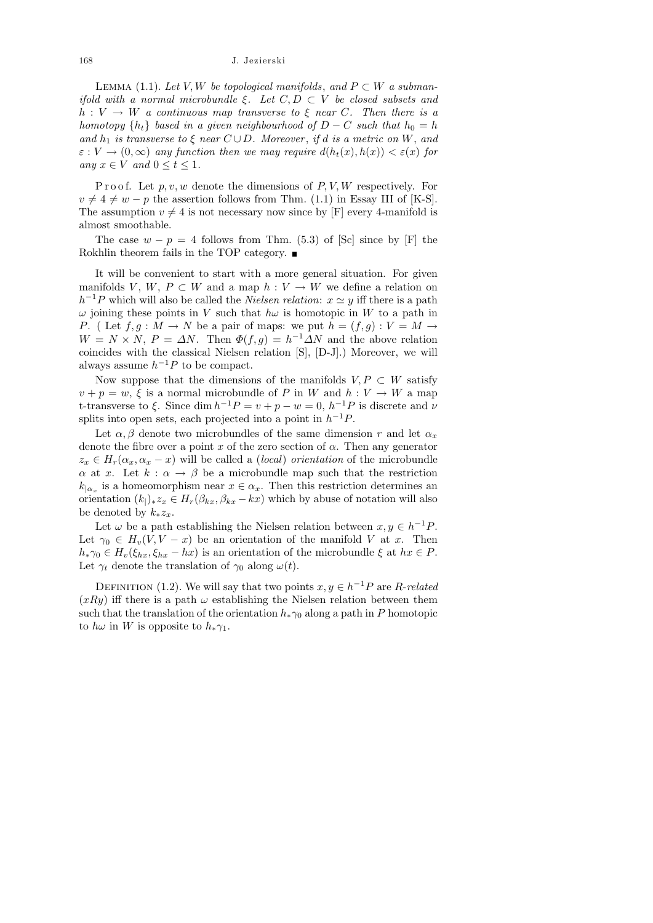LEMMA (1.1). Let V, W be topological manifolds, and  $P \subset W$  a submanifold with a normal microbundle  $\xi$ . Let  $C, D \subset V$  be closed subsets and  $h: V \to W$  a continuous map transverse to  $\xi$  near C. Then there is a homotopy  $\{h_t\}$  based in a given neighbourhood of  $D - C$  such that  $h_0 = h$ and  $h_1$  is transverse to  $\xi$  near  $C \cup D$ . Moreover, if d is a metric on W, and  $\varepsilon : V \to (0,\infty)$  any function then we may require  $d(h_t(x),h(x)) < \varepsilon(x)$  for any  $x \in V$  and  $0 \le t \le 1$ .

P r o o f. Let  $p, v, w$  denote the dimensions of  $P, V, W$  respectively. For  $v \neq 4 \neq w - p$  the assertion follows from Thm. (1.1) in Essay III of [K-S]. The assumption  $v \neq 4$  is not necessary now since by [F] every 4-manifold is almost smoothable.

The case  $w - p = 4$  follows from Thm. (5.3) of [Sc] since by [F] the Rokhlin theorem fails in the TOP category.  $\blacksquare$ 

It will be convenient to start with a more general situation. For given manifolds V, W,  $P \subset W$  and a map  $h: V \to W$  we define a relation on  $h^{-1}P$  which will also be called the *Nielsen relation*:  $x \simeq y$  iff there is a path  $\omega$  joining these points in V such that  $h\omega$  is homotopic in W to a path in P. ( Let  $f, g: M \to N$  be a pair of maps: we put  $h = (f, g): V = M \to$  $W = N \times N$ ,  $P = \Delta N$ . Then  $\Phi(f, g) = h^{-1} \Delta N$  and the above relation coincides with the classical Nielsen relation [S], [D-J].) Moreover, we will always assume  $h^{-1}P$  to be compact.

Now suppose that the dimensions of the manifolds  $V, P \subset W$  satisfy  $v + p = w$ ,  $\xi$  is a normal microbundle of P in W and  $h: V \to W$  a map t-transverse to  $\xi$ . Since  $\dim h^{-1}P = v + p - w = 0$ ,  $h^{-1}P$  is discrete and  $\nu$ splits into open sets, each projected into a point in  $h^{-1}P$ .

Let  $\alpha$ ,  $\beta$  denote two microbundles of the same dimension r and let  $\alpha_x$ denote the fibre over a point x of the zero section of  $\alpha$ . Then any generator  $z_x \in H_r(\alpha_x, \alpha_x - x)$  will be called a *(local) orientation* of the microbundle  $\alpha$  at x. Let  $k : \alpha \to \beta$  be a microbundle map such that the restriction  $k_{\vert \alpha_x}$  is a homeomorphism near  $x \in \alpha_x$ . Then this restriction determines an orientation  $(k_{\parallel})_* z_x \in H_r(\beta_{kx}, \beta_{kx} - kx)$  which by abuse of notation will also be denoted by  $k_* z_x$ .

Let  $\omega$  be a path establishing the Nielsen relation between  $x, y \in h^{-1}P$ . Let  $\gamma_0 \in H_v(V, V - x)$  be an orientation of the manifold V at x. Then  $h_*\gamma_0 \in H_v(\xi_{hx}, \xi_{hx} - hx)$  is an orientation of the microbundle  $\xi$  at  $hx \in P$ . Let  $\gamma_t$  denote the translation of  $\gamma_0$  along  $\omega(t)$ .

DEFINITION (1.2). We will say that two points  $x, y \in h^{-1}P$  are R-related  $(xRy)$  iff there is a path  $\omega$  establishing the Nielsen relation between them such that the translation of the orientation  $h_*\gamma_0$  along a path in P homotopic to  $h\omega$  in W is opposite to  $h_*\gamma_1$ .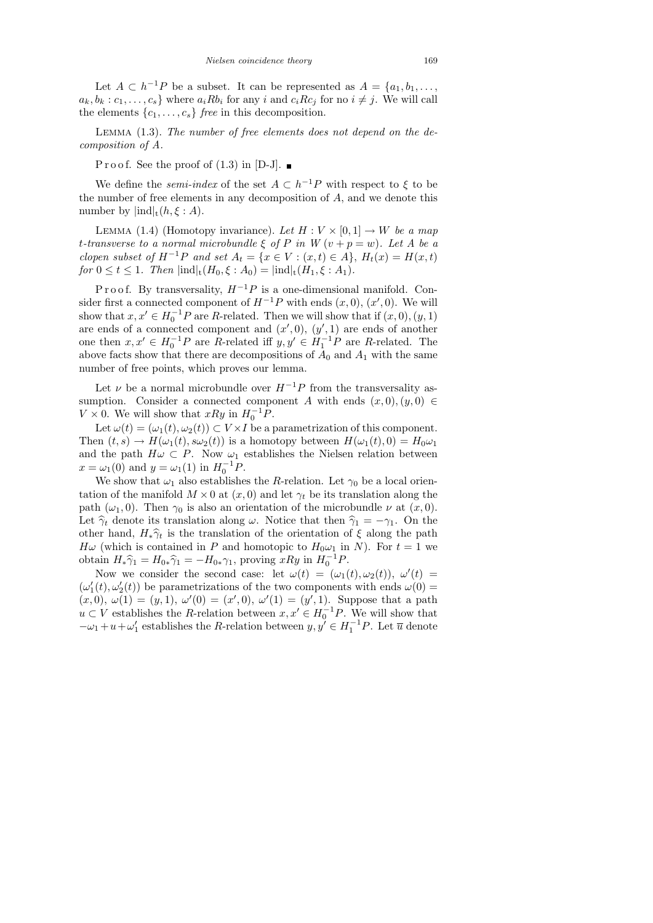Let  $A \subset h^{-1}P$  be a subset. It can be represented as  $A = \{a_1, b_1, \ldots,$  $a_k, b_k : c_1, \ldots, c_s$  where  $a_i R b_i$  for any i and  $c_i R c_j$  for no  $i \neq j$ . We will call the elements  $\{c_1, \ldots, c_s\}$  free in this decomposition.

Lemma (1.3). The number of free elements does not depend on the decomposition of A.

P r o o f. See the proof of  $(1.3)$  in [D-J].

We define the *semi-index* of the set  $A \subset h^{-1}P$  with respect to  $\xi$  to be the number of free elements in any decomposition of A, and we denote this number by  $\text{ind}|_t(h,\xi:A)$ .

LEMMA (1.4) (Homotopy invariance). Let  $H: V \times [0, 1] \rightarrow W$  be a map t-transverse to a normal microbundle  $\xi$  of P in W  $(v + p = w)$ . Let A be a clopen subset of  $H^{-1}P$  and set  $A_t = \{x \in V : (x,t) \in A\}$ ,  $H_t(x) = H(x,t)$ for  $0 \le t \le 1$ . Then  $|\text{ind}|_{t}(H_0,\xi : A_0) = |\text{ind}|_{t}(H_1,\xi : A_1)$ .

P r o o f. By transversality,  $H^{-1}P$  is a one-dimensional manifold. Consider first a connected component of  $H^{-1}P$  with ends  $(x,0), (x',0)$ . We will show that  $x, x' \in H_0^{-1}P$  are R-related. Then we will show that if  $(x, 0), (y, 1)$ are ends of a connected component and  $(x', 0), (y', 1)$  are ends of another one then  $x, x' \in H_0^{-1}P$  are R-related iff  $y, y' \in H_1^{-1}P$  are R-related. The above facts show that there are decompositions of  $A_0$  and  $A_1$  with the same number of free points, which proves our lemma.

Let  $\nu$  be a normal microbundle over  $H^{-1}P$  from the transversality assumption. Consider a connected component A with ends  $(x, 0), (y, 0) \in$  $V \times 0$ . We will show that  $xRy$  in  $H_0^{-1}P$ .

Let  $\omega(t) = (\omega_1(t), \omega_2(t)) \subset V \times I$  be a parametrization of this component. Then  $(t,s) \to H(\omega_1(t), s\omega_2(t))$  is a homotopy between  $H(\omega_1(t), 0) = H_0 \omega_1$ and the path  $H\omega \subset P$ . Now  $\omega_1$  establishes the Nielsen relation between  $x = \omega_1(0)$  and  $y = \omega_1(1)$  in  $H_0^{-1}P$ .

We show that  $\omega_1$  also establishes the R-relation. Let  $\gamma_0$  be a local orientation of the manifold  $M \times 0$  at  $(x, 0)$  and let  $\gamma_t$  be its translation along the path ( $\omega_1$ , 0). Then  $\gamma_0$  is also an orientation of the microbundle  $\nu$  at  $(x, 0)$ . Let  $\hat{\gamma}_t$  denote its translation along  $\omega$ . Notice that then  $\hat{\gamma}_1 = -\gamma_1$ . On the other hand,  $H_*\hat{\gamma}_t$  is the translation of the orientation of  $\xi$  along the path  $H\omega$  (which is contained in P and homotopic to  $H_0\omega_1$  in N). For  $t=1$  we obtain  $H_*\hat{\gamma}_1 = H_{0*}\hat{\gamma}_1 = -H_{0*}\gamma_1$ , proving  $xRy$  in  $H_0^{-1}$ <br>Now we consider the general association is  $H_0^{(1)} = (a^2 + b^2)y^2$  ${}^{1}P.$ 

Now we consider the second case: let  $\omega(t) = (\omega_1(t), \omega_2(t)), \omega'(t) =$  $(\omega_1'(t), \omega_2'(t))$  be parametrizations of the two components with ends  $\omega(0) =$  $(x,0), \omega(1) = (y,1), \omega'(0) = (x',0), \omega'(1) = (y',1).$  Suppose that a path  $u \subset V$  establishes the R-relation between  $x, x' \in H_0^{-1}P$ . We will show that  $-\omega_1 + u + \omega'_1$  establishes the R-relation between  $y, y' \in H_1^{-1}P$ . Let  $\overline{u}$  denote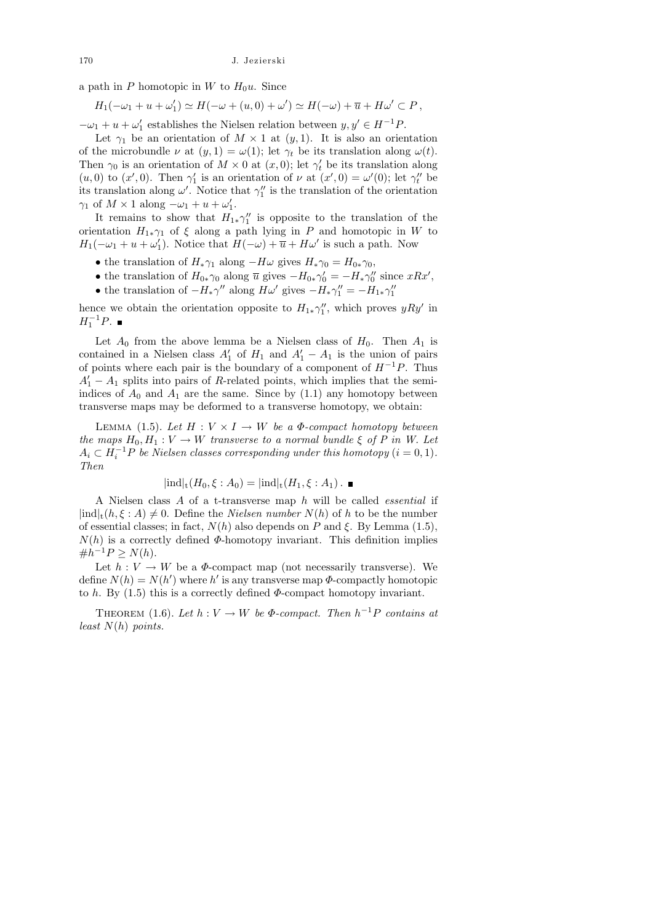a path in P homotopic in W to  $H_0u$ . Since

 $H_1(-\omega_1 + u + \omega'_1) \simeq H(-\omega + (u, 0) + \omega') \simeq H(-\omega) + \overline{u} + H\omega' \subset P,$ 

 $-\omega_1 + u + \omega'_1$  establishes the Nielsen relation between  $y, y' \in H^{-1}P$ .

Let  $\gamma_1$  be an orientation of  $M \times 1$  at  $(y, 1)$ . It is also an orientation of the microbundle  $\nu$  at  $(y, 1) = \omega(1)$ ; let  $\gamma_t$  be its translation along  $\omega(t)$ . Then  $\gamma_0$  is an orientation of  $M \times 0$  at  $(x, 0)$ ; let  $\gamma'_t$  be its translation along (*u*, 0) to (*x'*, 0). Then  $\gamma'_1$  is an orientation of  $\nu$  at (*x'*, 0) =  $\omega'(0)$ ; let  $\gamma''_t$  be its translation along  $\omega'$ . Notice that  $\gamma''_1$  is the translation of the orientation  $\gamma_1$  of  $M \times 1$  along  $-\omega_1 + u + \omega'_1$ .

It remains to show that  $H_{1*}\gamma_1''$  is opposite to the translation of the orientation  $H_{1*}\gamma_1$  of  $\xi$  along a path lying in P and homotopic in W to  $H_1(-\omega_1 + u + \omega'_1)$ . Notice that  $H(-\omega) + \overline{u} + H\omega'$  is such a path. Now

- the translation of  $H_*\gamma_1$  along  $-H\omega$  gives  $H_*\gamma_0 = H_{0*}\gamma_0$ ,
- the translation of  $H_{0*}\gamma_0$  along  $\overline{u}$  gives  $-H_{0*}\gamma'_0 = -H_*\gamma''_0$  since  $xRx'$ ,
- the translation of  $-H_*\gamma''$  along  $H\omega'$  gives  $-H_*\gamma''_1 = -H_{1*}\gamma''_1$

hence we obtain the orientation opposite to  $H_{1*}\gamma_1''$ , which proves  $yRy'$  in  $H_1^{-1}P.$ 

Let  $A_0$  from the above lemma be a Nielsen class of  $H_0$ . Then  $A_1$  is contained in a Nielsen class  $A'_1$  of  $H_1$  and  $A'_1 - A_1$  is the union of pairs of points where each pair is the boundary of a component of  $H^{-1}P$ . Thus  $A_1' - A_1$  splits into pairs of R-related points, which implies that the semiindices of  $A_0$  and  $A_1$  are the same. Since by (1.1) any homotopy between transverse maps may be deformed to a transverse homotopy, we obtain:

LEMMA (1.5). Let  $H: V \times I \rightarrow W$  be a  $\Phi$ -compact homotopy between the maps  $H_0, H_1 : V \to W$  transverse to a normal bundle  $\xi$  of P in W. Let  $A_i \subset H_i^{-1}P$  be Nielsen classes corresponding under this homotopy  $(i = 0, 1)$ . Then

$$
|\text{ind}|_{t}(H_0,\xi:A_0)=|\text{ind}|_{t}(H_1,\xi:A_1).
$$

A Nielsen class A of a t-transverse map h will be called essential if  $|\text{ind}|_t(h, \xi : A) \neq 0$ . Define the *Nielsen number*  $N(h)$  of h to be the number of essential classes; in fact,  $N(h)$  also depends on P and  $\xi$ . By Lemma (1.5),  $N(h)$  is a correctly defined  $\Phi$ -homotopy invariant. This definition implies  $\#h^{-1}P \ge N(h).$ 

Let  $h: V \to W$  be a  $\Phi$ -compact map (not necessarily transverse). We define  $N(h) = N(h')$  where h' is any transverse map  $\Phi$ -compactly homotopic to h. By  $(1.5)$  this is a correctly defined  $\Phi$ -compact homotopy invariant.

THEOREM (1.6). Let  $h: V \to W$  be  $\Phi$ -compact. Then  $h^{-1}P$  contains at least  $N(h)$  points.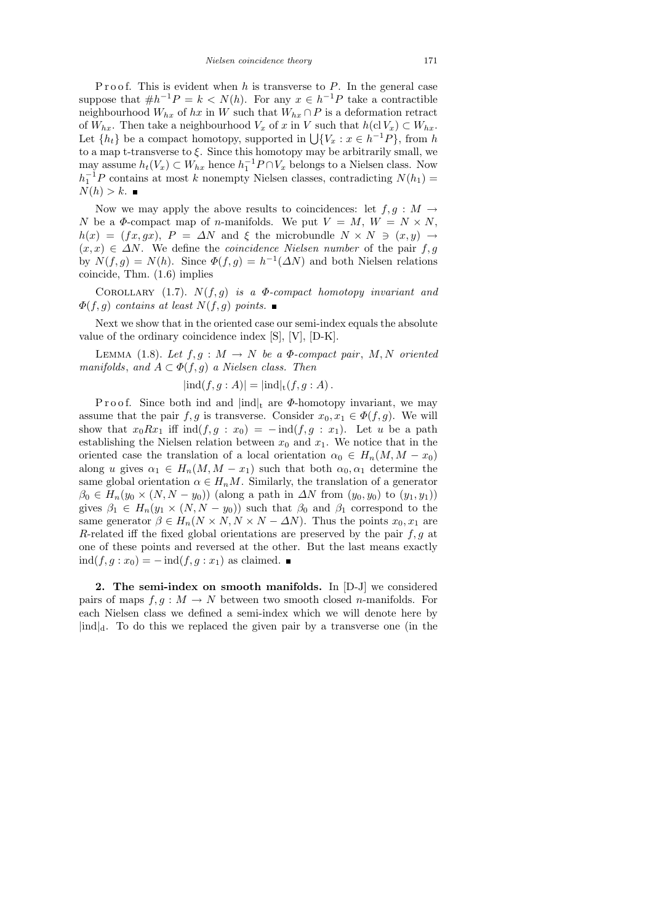P r o o f. This is evident when h is transverse to  $P$ . In the general case suppose that  $\#h^{-1}P = k \lt N(h)$ . For any  $x \in h^{-1}P$  take a contractible neighbourhood  $W_{hx}$  of hx in W such that  $W_{hx} \cap P$  is a deformation retract of  $W_{hx}$ . Then take a neighbourhood  $V_x$  of x in V such that  $h(\text{cl } V_x) \subset W_{hx}$ . Let  $\{h_t\}$  be a compact homotopy, supported in  $\bigcup \{V_x : x \in h^{-1}P\}$ , from h to a map t-transverse to  $\xi$ . Since this homotopy may be arbitrarily small, we may assume  $h_t(V_x) \subset W_{hx}$  hence  $h_1^{-1}P \cap V_x$  belongs to a Nielsen class. Now  $h_1^{-1}P$  contains at most k nonempty Nielsen classes, contradicting  $N(h_1)$  =  $N(h) > k$ .

Now we may apply the above results to coincidences: let  $f, g : M \to$ N be a  $\Phi$ -compact map of *n*-manifolds. We put  $V = M$ ,  $W = N \times N$ ,  $h(x) = (fx, gx), P = \Delta N$  and  $\xi$  the microbundle  $N \times N \ni (x, y) \rightarrow$  $(x, x) \in \Delta N$ . We define the *coincidence Nielsen number* of the pair f, g by  $N(f,g) = N(h)$ . Since  $\Phi(f,g) = h^{-1}(\Delta N)$  and both Nielsen relations coincide, Thm. (1.6) implies

COROLLARY (1.7).  $N(f,g)$  is a  $\Phi$ -compact homotopy invariant and  $\Phi(f,g)$  contains at least  $N(f,g)$  points.

Next we show that in the oriented case our semi-index equals the absolute value of the ordinary coincidence index [S], [V], [D-K].

LEMMA (1.8). Let  $f, g : M \to N$  be a  $\Phi$ -compact pair, M, N oriented manifolds, and  $A \subset \Phi(f, g)$  a Nielsen class. Then

$$
|\text{ind}(f,g:A)| = |\text{ind}|_{\mathsf{t}}(f,g:A).
$$

P r o o f. Since both ind and  $\text{ind}_{\mathfrak{t}}$  are  $\Phi$ -homotopy invariant, we may assume that the pair f, g is transverse. Consider  $x_0, x_1 \in \Phi(f, g)$ . We will show that  $x_0Rx_1$  iff  $ind(f, g : x_0) = -ind(f, g : x_1)$ . Let u be a path establishing the Nielsen relation between  $x_0$  and  $x_1$ . We notice that in the oriented case the translation of a local orientation  $\alpha_0 \in H_n(M, M - x_0)$ along u gives  $\alpha_1 \in H_n(M, M - x_1)$  such that both  $\alpha_0, \alpha_1$  determine the same global orientation  $\alpha \in H_nM$ . Similarly, the translation of a generator  $\beta_0 \in H_n(y_0 \times (N, N - y_0))$  (along a path in  $\Delta N$  from  $(y_0, y_0)$  to  $(y_1, y_1)$ ) gives  $\beta_1 \in H_n(y_1 \times (N, N - y_0))$  such that  $\beta_0$  and  $\beta_1$  correspond to the same generator  $\beta \in H_n(N \times N, N \times N - \Delta N)$ . Thus the points  $x_0, x_1$  are R-related iff the fixed global orientations are preserved by the pair  $f, g$  at one of these points and reversed at the other. But the last means exactly  $ind(f, g: x_0) = -ind(f, g: x_1)$  as claimed. ■

2. The semi-index on smooth manifolds. In [D-J] we considered pairs of maps  $f, g : M \to N$  between two smooth closed *n*-manifolds. For each Nielsen class we defined a semi-index which we will denote here by  $\lvert \text{ind} \rvert_d$ . To do this we replaced the given pair by a transverse one (in the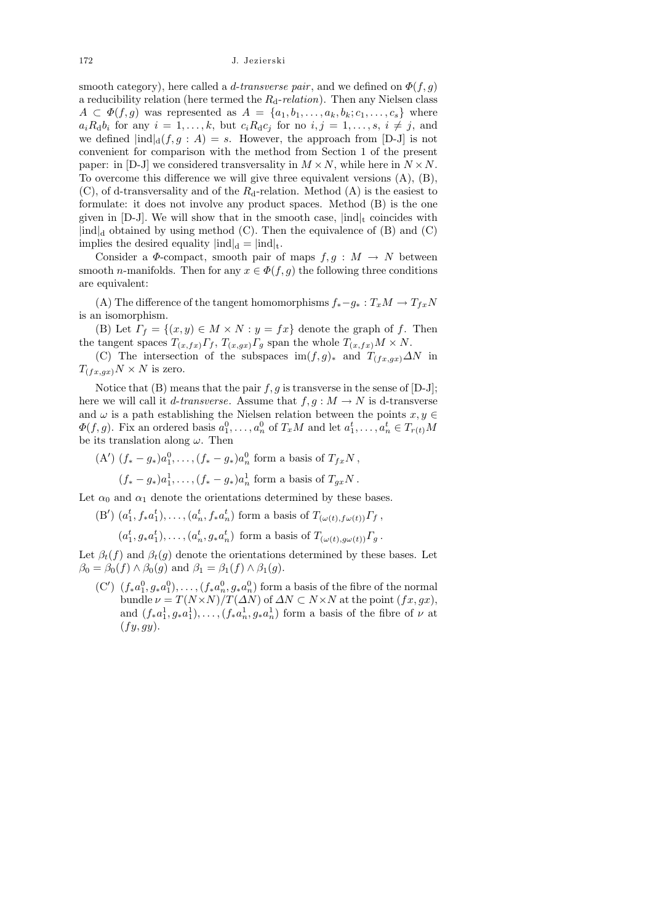smooth category), here called a *d-transverse pair*, and we defined on  $\Phi(f, g)$ a reducibility relation (here termed the  $R_d$ -relation). Then any Nielsen class  $A \subset \Phi(f,g)$  was represented as  $A = \{a_1, b_1, \ldots, a_k, b_k; c_1, \ldots, c_s\}$  where  $a_iR_{\rm d}b_i$  for any  $i=1,\ldots,k$ , but  $c_iR_{\rm d}c_j$  for no  $i,j=1,\ldots,s$ ,  $i \neq j$ , and we defined  $\text{ind}_{d}(f, g : A) = s$ . However, the approach from [D-J] is not convenient for comparison with the method from Section 1 of the present paper: in [D-J] we considered transversality in  $M \times N$ , while here in  $N \times N$ . To overcome this difference we will give three equivalent versions (A), (B),  $(C)$ , of d-transversality and of the  $R_d$ -relation. Method  $(A)$  is the easiest to formulate: it does not involve any product spaces. Method (B) is the one given in [D-J]. We will show that in the smooth case,  $\text{ind}|_{t}$  coincides with  $\text{ind}_{d}$  obtained by using method (C). Then the equivalence of (B) and (C) implies the desired equality  $|ind|_d = |ind|_t$ .

Consider a  $\Phi$ -compact, smooth pair of maps  $f, g : M \to N$  between smooth *n*-manifolds. Then for any  $x \in \Phi(f, g)$  the following three conditions are equivalent:

(A) The difference of the tangent homomorphisms  $f_*-g_*: T_xM \to T_{fx}N$ is an isomorphism.

(B) Let  $\Gamma_f = \{(x, y) \in M \times N : y = fx\}$  denote the graph of f. Then the tangent spaces  $T_{(x,fx)}\Gamma_f$ ,  $T_{(x,gx)}\Gamma_g$  span the whole  $T_{(x,fx)}M \times N$ .

(C) The intersection of the subspaces im $(f, g)$ <sup>\*</sup> and  $T_{(fx,gx)}\Delta N$  in  $T_{(fx,gx)}N \times N$  is zero.

Notice that (B) means that the pair  $f, g$  is transverse in the sense of  $[D-J]$ ; here we will call it *d*-transverse. Assume that  $f, g : M \to N$  is d-transverse and  $\omega$  is a path establishing the Nielsen relation between the points  $x, y \in$  $\Phi(f,g)$ . Fix an ordered basis  $a_1^0, \ldots, a_n^0$  of  $T_xM$  and let  $a_1^t, \ldots, a_n^t \in T_{r(t)}M$ be its translation along  $\omega$ . Then

(A')  $(f_* - g_*)a_1^0, \ldots, (f_* - g_*)a_n^0$  form a basis of  $T_{fx}N$ ,  $(f_* - g_*)a_1^1, \ldots, (f_* - g_*)a_n^1$  form a basis of  $T_{gx}N$ .

Let  $\alpha_0$  and  $\alpha_1$  denote the orientations determined by these bases.

(B')  $(a_1^t, f_* a_1^t), \ldots, (a_n^t, f_* a_n^t)$  form a basis of  $T_{(\omega(t), f\omega(t))}\Gamma_f$ ,

 $(a_1^t, g_* a_1^t), \ldots, (a_n^t, g_* a_n^t)$  form a basis of  $T_{(\omega(t), g\omega(t))}\Gamma_g$ .

Let  $\beta_t(f)$  and  $\beta_t(g)$  denote the orientations determined by these bases. Let  $\beta_0 = \beta_0(f) \wedge \beta_0(g)$  and  $\beta_1 = \beta_1(f) \wedge \beta_1(g)$ .

 $(C')$   $(f_*a_1^0, g_*a_1^0), \ldots, (f_*a_n^0, g_*a_n^0)$  form a basis of the fibre of the normal bundle  $\nu = T(N \times N)/T(\Delta N)$  of  $\Delta N \subset N \times N$  at the point  $(fx, gx)$ , and  $(f_* a_1^1, g_* a_1^1), \ldots, (f_* a_n^1, g_* a_n^1)$  form a basis of the fibre of  $\nu$  at  $(fy, gy)$ .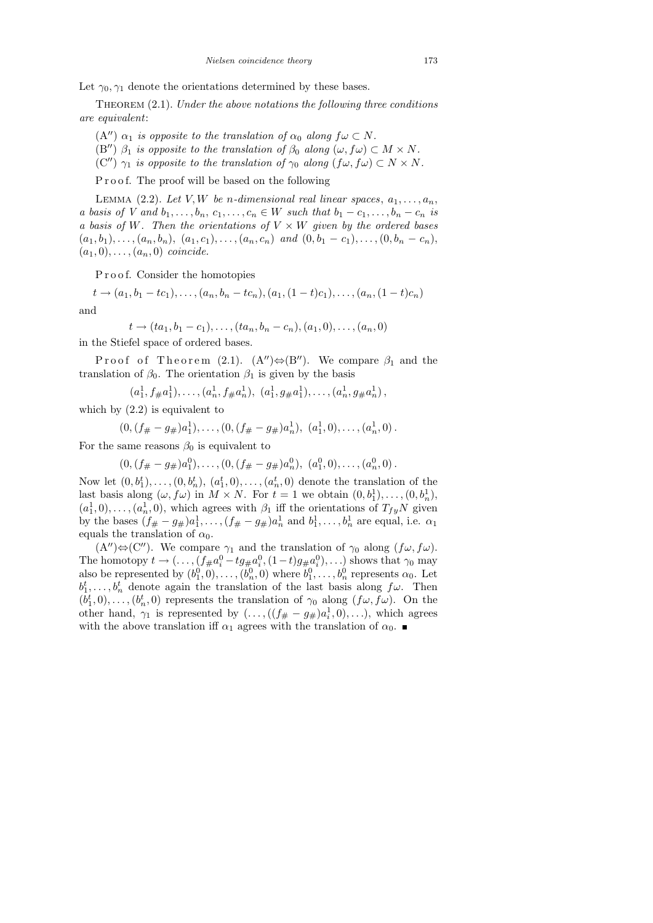Let  $\gamma_0, \gamma_1$  denote the orientations determined by these bases.

THEOREM  $(2.1)$ . Under the above notations the following three conditions are equivalent:

- (A")  $\alpha_1$  is opposite to the translation of  $\alpha_0$  along  $f\omega \subset N$ .
- (B'')  $\beta_1$  is opposite to the translation of  $\beta_0$  along  $(\omega, f\omega) \subset M \times N$ .
- (C'')  $\gamma_1$  is opposite to the translation of  $\gamma_0$  along  $(f\omega, f\omega) \subset N \times N$ .

P r o o f. The proof will be based on the following

LEMMA (2.2). Let V, W be n-dimensional real linear spaces,  $a_1, \ldots, a_n$ , a basis of V and  $b_1, \ldots, b_n, c_1, \ldots, c_n \in W$  such that  $b_1 - c_1, \ldots, b_n - c_n$  is a basis of W. Then the orientations of  $V \times W$  given by the ordered bases  $(a_1, b_1), \ldots, (a_n, b_n), (a_1, c_1), \ldots, (a_n, c_n)$  and  $(0, b_1 - c_1), \ldots, (0, b_n - c_n)$ ,  $(a_1, 0), \ldots, (a_n, 0)$  coincide.

Proof. Consider the homotopies

 $t \rightarrow (a_1, b_1 - tc_1), \ldots, (a_n, b_n - tc_n), (a_1, (1-t)c_1), \ldots, (a_n, (1-t)c_n)$ 

and

 $t \rightarrow (ta_1, b_1 - c_1), \ldots, (ta_n, b_n - c_n), (a_1, 0), \ldots, (a_n, 0)$ in the Stiefel space of ordered bases.

Proof of Theorem (2.1).  $(A'') \Leftrightarrow (B'')$ . We compare  $\beta_1$  and the translation of  $\beta_0$ . The orientation  $\beta_1$  is given by the basis

 $(a_1^1, f_{\#}a_1^1), \ldots, (a_n^1, f_{\#}a_n^1), (a_1^1, g_{\#}a_1^1), \ldots, (a_n^1, g_{\#}a_n^1)$ ,

which by  $(2.2)$  is equivalent to

$$
(0,(f_{\#}-g_{\#})a_1^1),\ldots,(0,(f_{\#}-g_{\#})a_n^1), (a_1^1,0),\ldots,(a_n^1,0).
$$

For the same reasons  $\beta_0$  is equivalent to

 $(0, (f_{\#} - g_{\#})a_1^0), \ldots, (0, (f_{\#} - g_{\#})a_n^0), (a_1^0, 0), \ldots, (a_n^0, 0).$ 

Now let  $(0, b_1^t), \ldots, (0, b_n^t), (a_1^t, 0), \ldots, (a_n^t, 0)$  denote the translation of the last basis along  $(\omega, f\omega)$  in  $M \times N$ . For  $t = 1$  we obtain  $(0, b_1^1), \ldots, (0, b_n^1)$ ,  $(a_1^1, 0), \ldots, (a_n^1, 0)$ , which agrees with  $\beta_1$  iff the orientations of  $T_{fy}N$  given by the bases  $(f_{\#} - g_{\#})a_1^1, \ldots, (f_{\#} - g_{\#})a_n^1$  and  $b_1^1, \ldots, b_n^1$  are equal, i.e.  $\alpha_1$ equals the translation of  $\alpha_0$ .

 $(A'')\Leftrightarrow (C'')$ . We compare  $\gamma_1$  and the translation of  $\gamma_0$  along  $(f\omega, f\omega)$ . The homotopy  $t \to (\ldots, (f_{\#} a_i^0 - t g_{\#} a_i^0, (1-t) g_{\#} a_i^0), \ldots)$  shows that  $\gamma_0$  may also be represented by  $(b_1^0, 0), \ldots, (b_n^0, 0)$  where  $b_1^0, \ldots, b_n^0$  represents  $\alpha_0$ . Let  $b_1^t, \ldots, b_n^t$  denote again the translation of the last basis along  $f\omega$ . Then  $(b_1^t, 0), \ldots, (b_n^t, 0)$  represents the translation of  $\gamma_0$  along  $(f\omega, f\omega)$ . On the other hand,  $\gamma_1$  is represented by  $(\ldots, ((f_{\#} - g_{\#})a_i^1, 0), \ldots)$ , which agrees with the above translation iff  $\alpha_1$  agrees with the translation of  $\alpha_0$ .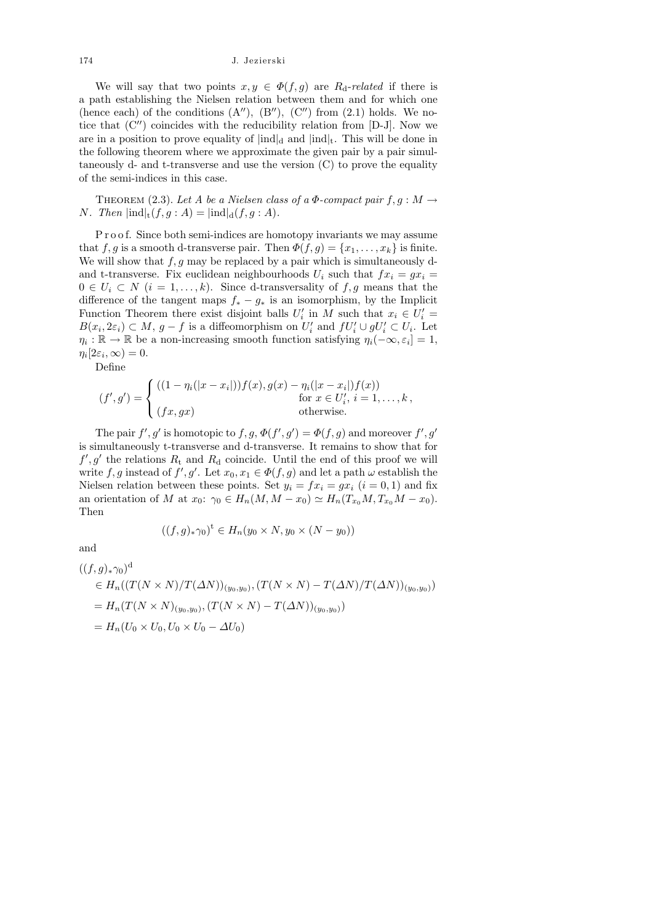We will say that two points  $x, y \in \Phi(f, g)$  are  $R_{d}$ -related if there is a path establishing the Nielsen relation between them and for which one (hence each) of the conditions  $(A'')$ ,  $(B'')$ ,  $(C'')$  from  $(2.1)$  holds. We notice that  $(C'')$  coincides with the reducibility relation from [D-J]. Now we are in a position to prove equality of  $\text{ind}_{d}$  and  $\text{ind}_{t}$ . This will be done in the following theorem where we approximate the given pair by a pair simultaneously d- and t-transverse and use the version (C) to prove the equality of the semi-indices in this case.

THEOREM (2.3). Let A be a Nielsen class of a  $\Phi$ -compact pair  $f, g : M \to$ N. Then  $\text{ind}_{\mathfrak{t}}(f,g:A) = \text{ind}_{d}(f,g:A).$ 

P r o o f. Since both semi-indices are homotopy invariants we may assume that f, g is a smooth d-transverse pair. Then  $\Phi(f,g) = \{x_1, \ldots, x_k\}$  is finite. We will show that  $f, g$  may be replaced by a pair which is simultaneously dand t-transverse. Fix euclidean neighbourhoods  $U_i$  such that  $fx_i = gx_i =$  $0 \in U_i \subset N$   $(i = 1, ..., k)$ . Since d-transversality of f, g means that the difference of the tangent maps  $f_* - g_*$  is an isomorphism, by the Implicit Function Theorem there exist disjoint balls  $U_i'$  in M such that  $x_i \in U_i'$  $B(x_i, 2\varepsilon_i) \subset M$ ,  $g - f$  is a diffeomorphism on  $U'_i$  and  $fU'_i \cup gU'_i \subset U_i$ . Let  $\eta_i : \mathbb{R} \to \mathbb{R}$  be a non-increasing smooth function satisfying  $\eta_i(-\infty, \varepsilon_i] = 1$ ,  $\eta_i[2\varepsilon_i,\infty)=0.$ 

Define

$$
(f', g') = \begin{cases} ((1 - \eta_i(|x - x_i|))f(x), g(x) - \eta_i(|x - x_i|)f(x)) \\ \text{for } x \in U'_i, i = 1, ..., k, \\ (fx, gx) \end{cases}
$$

The pair  $f', g'$  is homotopic to  $f, g, \Phi(f', g') = \Phi(f, g)$  and moreover  $f', g'$ is simultaneously t-transverse and d-transverse. It remains to show that for  $f', g'$  the relations  $R_t$  and  $R_d$  coincide. Until the end of this proof we will write f, g instead of  $f', g'$ . Let  $x_0, x_1 \in \Phi(f, g)$  and let a path  $\omega$  establish the Nielsen relation between these points. Set  $y_i = fx_i = gx_i$   $(i = 0, 1)$  and fix an orientation of M at  $x_0$ :  $\gamma_0 \in H_n(M, M - x_0) \simeq H_n(T_{x_0}M, T_{x_0}M - x_0)$ . Then

$$
((f,g)_*\gamma_0)^{\mathsf{t}} \in H_n(y_0 \times N, y_0 \times (N-y_0))
$$

and

$$
((f,g)_{*}\gamma_{0})^{d}
$$
  
\n
$$
\in H_{n}((T(N \times N)/T(\Delta N))_{(y_{0},y_{0})}, (T(N \times N) - T(\Delta N)/T(\Delta N))_{(y_{0},y_{0})})
$$
  
\n
$$
= H_{n}(T(N \times N)_{(y_{0},y_{0})}, (T(N \times N) - T(\Delta N))_{(y_{0},y_{0})})
$$
  
\n
$$
= H_{n}(U_{0} \times U_{0}, U_{0} \times U_{0} - \Delta U_{0})
$$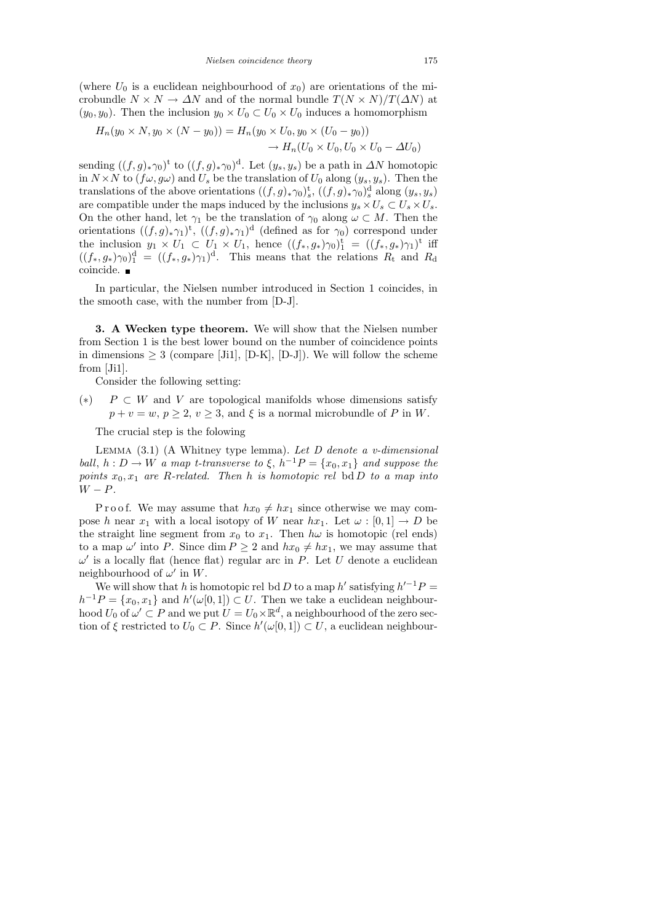(where  $U_0$  is a euclidean neighbourhood of  $x_0$ ) are orientations of the microbundle  $N \times N \to \Delta N$  and of the normal bundle  $T(N \times N)/T(\Delta N)$  at  $(y_0, y_0)$ . Then the inclusion  $y_0 \times U_0 \subset U_0 \times U_0$  induces a homomorphism

$$
H_n(y_0 \times N, y_0 \times (N - y_0)) = H_n(y_0 \times U_0, y_0 \times (U_0 - y_0))
$$
  

$$
\to H_n(U_0 \times U_0, U_0 \times U_0 - \Delta U_0)
$$

sending  $((f,g)_{\ast}\gamma_0)^t$  to  $((f,g)_{\ast}\gamma_0)^d$ . Let  $(y_s,y_s)$  be a path in  $\Delta N$  homotopic in  $N \times N$  to  $(f\omega, g\omega)$  and  $U_s$  be the translation of  $U_0$  along  $(y_s, y_s)$ . Then the translations of the above orientations  $((f, g)_*\gamma_0)_s^{\text{t}}$ ,  $((f, g)_*\gamma_0)_s^{\text{d}}$  along  $(y_s, y_s)$ are compatible under the maps induced by the inclusions  $y_s \times U_s \subset U_s \times U_s$ . On the other hand, let  $\gamma_1$  be the translation of  $\gamma_0$  along  $\omega \subset M$ . Then the orientations  $((f,g)_{\ast}\gamma_1)^{\mathrm{t}}$ ,  $((f,g)_{\ast}\gamma_1)^{\mathrm{d}}$  (defined as for  $\gamma_0$ ) correspond under the inclusion  $y_1 \times U_1 \subset U_1 \times U_1$ , hence  $((f_*, g_*)\gamma_0)^{\dagger} = ((f_*, g_*)\gamma_1)^{\dagger}$  iff  $((f_*,g_*)\gamma_0)_1^d = ((f_*,g_*)\gamma_1)^d$ . This means that the relations  $R_t$  and  $R_d$ coincide.

In particular, the Nielsen number introduced in Section 1 coincides, in the smooth case, with the number from [D-J].

3. A Wecken type theorem. We will show that the Nielsen number from Section 1 is the best lower bound on the number of coincidence points in dimensions  $\geq 3$  (compare [Ji1], [D-K], [D-J]). We will follow the scheme from [Ji1].

Consider the following setting:

(\*)  $P \subset W$  and V are topological manifolds whose dimensions satisfy  $p + v = w, p \ge 2, v \ge 3$ , and  $\xi$  is a normal microbundle of P in W.

The crucial step is the folowing

LEMMA  $(3.1)$  (A Whitney type lemma). Let D denote a v-dimensional ball,  $h: D \to W$  a map t-transverse to  $\xi$ ,  $h^{-1}P = \{x_0, x_1\}$  and suppose the points  $x_0, x_1$  are R-related. Then h is homotopic rel bd D to a map into  $W - P$ .

P r o o f. We may assume that  $hx_0 \neq hx_1$  since otherwise we may compose h near  $x_1$  with a local isotopy of W near  $hx_1$ . Let  $\omega : [0,1] \to D$  be the straight line segment from  $x_0$  to  $x_1$ . Then  $h\omega$  is homotopic (rel ends) to a map  $\omega'$  into P. Since dim  $P \ge 2$  and  $hx_0 \ne hx_1$ , we may assume that  $\omega'$  is a locally flat (hence flat) regular arc in P. Let U denote a euclidean neighbourhood of  $\omega'$  in W.

We will show that h is homotopic rel bd D to a map h' satisfying  $h'^{-1}P =$  $h^{-1}P = \{x_0, x_1\}$  and  $h'(\omega[0, 1]) \subset U$ . Then we take a euclidean neighbourhood  $U_0$  of  $\omega' \subset P$  and we put  $\widetilde{U} = U_0 \times \mathbb{R}^d$ , a neighbourhood of the zero section of  $\xi$  restricted to  $U_0 \subset P$ . Since  $h'(\omega[0,1]) \subset U$ , a euclidean neighbour-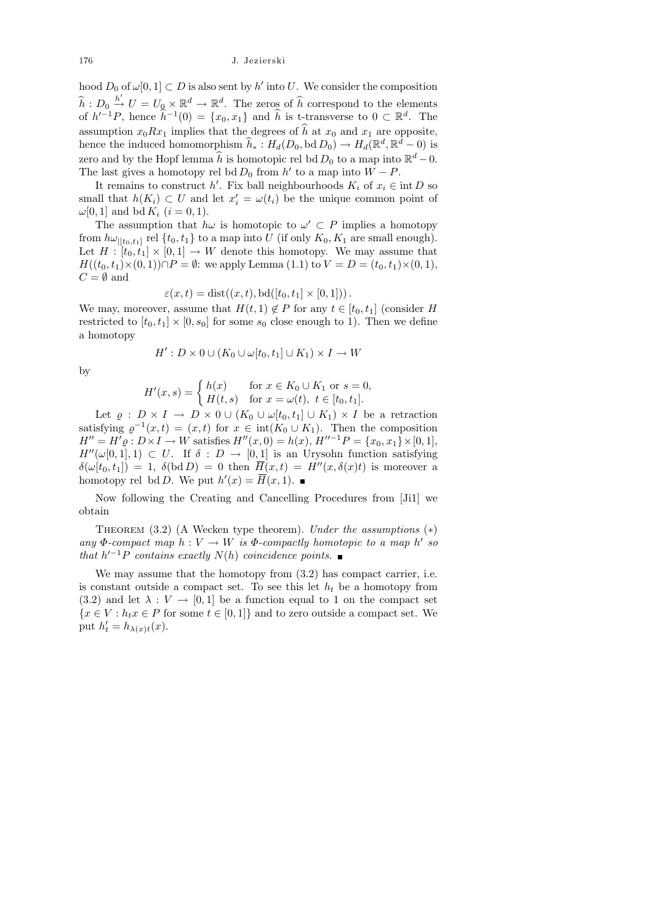hood  $D_0$  of  $\omega[0,1] \subset D$  is also sent by  $h'$  into U. We consider the composition  $\hat{h}: D_0 \stackrel{h'}{\rightarrow} U = U_0 \times \mathbb{R}^d \rightarrow \mathbb{R}^d$ . The zeros of  $\hat{h}$  correspond to the elements of  $h'^{-1}P$ , hence  $\widehat{h}^{-1}(0) = \{x_0, x_1\}$  and  $\widehat{h}$  is t-transverse to  $0 \subset \mathbb{R}^d$ . The assumption  $x_0Rx_1$  implies that the degrees of  $\hat{h}$  at  $x_0$  and  $x_1$  are opposite, hence the induced homomorphism  $\widehat{h}_* : H_d(D_0, \text{bd } D_0) \to H_d(\mathbb{R}^d, \mathbb{R}^d - 0)$  is zero and by the Hopf lemma  $\widehat{h}$  is homotopic rel bd  $D_0$  to a map into  $\mathbb{R}^d - 0$ . The last gives a homotopy rel bd  $D_0$  from  $h'$  to a map into  $W - P$ .

It remains to construct h'. Fix ball neighbourhoods  $K_i$  of  $x_i \in \text{int } D$  so small that  $h(K_i) \subset U$  and let  $x'_i = \omega(t_i)$  be the unique common point of  $\omega[0, 1]$  and bd  $K_i$   $(i = 0, 1)$ .

The assumption that  $h\omega$  is homotopic to  $\omega' \subset P$  implies a homotopy from  $h\omega_{|[t_0,t_1]}$  rel  $\{t_0,t_1\}$  to a map into U (if only  $K_0, K_1$  are small enough). Let  $H : [t_0, t_1] \times [0, 1] \rightarrow W$  denote this homotopy. We may assume that  $H((t_0, t_1)\times(0, 1))\cap P = \emptyset$ : we apply Lemma (1.1) to  $V = D = (t_0, t_1)\times(0, 1)$ ,  $C = \emptyset$  and

$$
\varepsilon(x,t) = \text{dist}((x,t), \text{bd}([t_0, t_1] \times [0,1]))\,.
$$

We may, moreover, assume that  $H(t, 1) \notin P$  for any  $t \in [t_0, t_1]$  (consider H restricted to  $[t_0, t_1] \times [0, s_0]$  for some  $s_0$  close enough to 1). Then we define a homotopy

$$
H': D \times 0 \cup (K_0 \cup \omega[t_0, t_1] \cup K_1) \times I \to W
$$

by

$$
H'(x,s) = \begin{cases} h(x) & \text{for } x \in K_0 \cup K_1 \text{ or } s = 0, \\ H(t,s) & \text{for } x = \omega(t), \ t \in [t_0, t_1]. \end{cases}
$$

Let  $\rho : D \times I \to D \times 0 \cup (K_0 \cup \omega[t_0, t_1] \cup K_1) \times I$  be a retraction satisfying  $\varrho^{-1}(x,t) = (x,t)$  for  $x \in \text{int}(K_0 \cup K_1)$ . Then the composition  $H'' = H' \varrho : D \times I \to W$  satisfies  $H''(x, 0) = h(x), H''^{-1}P = \{x_0, x_1\} \times [0, 1],$  $H''(\omega[0, 1], 1) \subset U$ . If  $\delta : D \to [0, 1]$  is an Urysohn function satisfying  $\delta(\omega[t_0, t_1]) = 1$ ,  $\delta(\text{bd } D) = 0$  then  $\overline{H}(x, t) = H''(x, \delta(x)t)$  is moreover a homotopy rel bd D. We put  $h'(x) = \overline{H}(x, 1)$ .

Now following the Creating and Cancelling Procedures from [Ji1] we obtain

THEOREM  $(3.2)$  (A Wecken type theorem). Under the assumptions  $(*)$ any  $\Phi$ -compact map  $h: V \to W$  is  $\Phi$ -compactly homotopic to a map h'so that  $h'^{-1}P$  contains exactly  $N(h)$  coincidence points.

We may assume that the homotopy from (3.2) has compact carrier, i.e. is constant outside a compact set. To see this let  $h_t$  be a homotopy from (3.2) and let  $\lambda : V \to [0, 1]$  be a function equal to 1 on the compact set  ${x \in V : h_t x \in P \text{ for some } t \in [0,1]}$  and to zero outside a compact set. We put  $h'_t = h_{\lambda(x)t}(x)$ .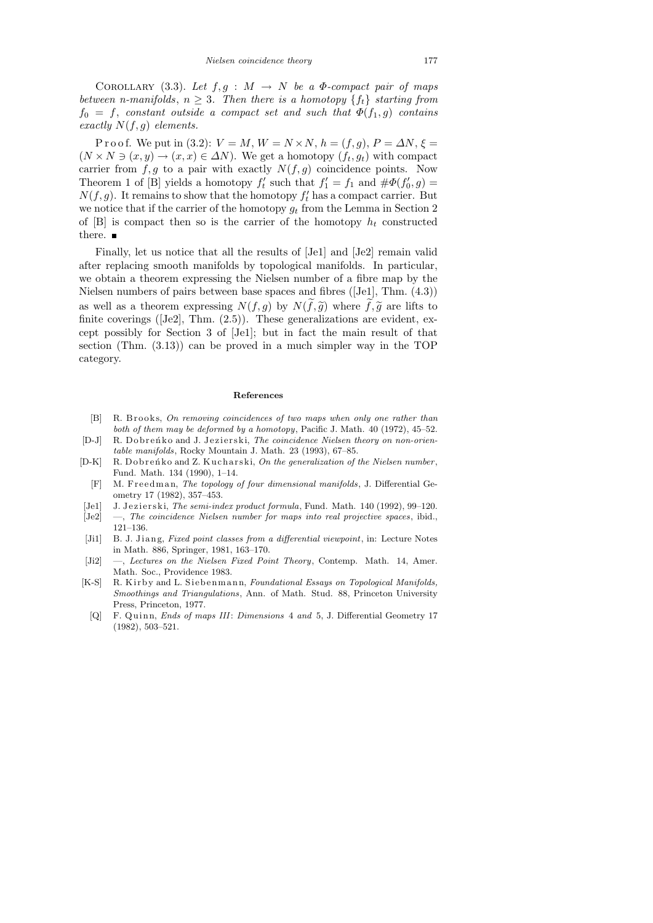COROLLARY (3.3). Let  $f, g : M \rightarrow N$  be a  $\Phi$ -compact pair of maps between n-manifolds,  $n \geq 3$ . Then there is a homotopy  $\{f_t\}$  starting from  $f_0 = f$ , constant outside a compact set and such that  $\Phi(f_1, g)$  contains exactly  $N(f, g)$  elements.

P r o o f. We put in (3.2):  $V = M$ ,  $W = N \times N$ ,  $h = (f, g)$ ,  $P = \Delta N$ ,  $\xi =$  $(N \times N \ni (x, y) \rightarrow (x, x) \in \Delta N)$ . We get a homotopy  $(f_t, g_t)$  with compact carrier from  $f, g$  to a pair with exactly  $N(f, g)$  coincidence points. Now Theorem 1 of [B] yields a homotopy  $f'_t$  such that  $f'_1 = f_1$  and  $\#\Phi(f'_0, g) =$  $N(f, g)$ . It remains to show that the homotopy  $f'_t$  has a compact carrier. But we notice that if the carrier of the homotopy  $g_t$  from the Lemma in Section 2 of  $[B]$  is compact then so is the carrier of the homotopy  $h_t$  constructed there.  $\blacksquare$ 

Finally, let us notice that all the results of [Je1] and [Je2] remain valid after replacing smooth manifolds by topological manifolds. In particular, we obtain a theorem expressing the Nielsen number of a fibre map by the Nielsen numbers of pairs between base spaces and fibres ([Je1], Thm. (4.3)) as well as a theorem expressing  $N(f,g)$  by  $N(\tilde{f},\tilde{g})$  where  $\tilde{f},\tilde{g}$  are lifts to finite coverings ([Je2], Thm. (2.5)). These generalizations are evident, except possibly for Section 3 of [Je1]; but in fact the main result of that section (Thm. (3.13)) can be proved in a much simpler way in the TOP category.

### **References**

- [B] R. Brooks, *On removing coincidences of two maps when only one rather than both of them may be deformed by a homotopy*, Pacific J. Math. 40 (1972), 45–52.
- [D-J] R. Dobrenko and J. Jezierski, *The coincidence Nielsen theory on non-orientable manifolds*, Rocky Mountain J. Math. 23 (1993), 67–85.
- [D-K] R. Dobrenko and Z. Kucharski, On the generalization of the Nielsen number, Fund. Math. 134 (1990), 1–14.
- [F] M. Freedman, *The topology of four dimensional manifolds*, J. Differential Geometry 17 (1982), 357–453.
- [Je1] J. J e zi e r ski, *The semi-index product formula*, Fund. Math. 140 (1992), 99-120.
- [Je2] —, *The coincidence Nielsen number for maps into real projective spaces*, ibid., 121–136.
- [Ji1] B. J. Jiang, *Fixed point classes from a differential viewpoint*, in: Lecture Notes in Math. 886, Springer, 1981, 163–170.
- [Ji2] —, *Lectures on the Nielsen Fixed Point Theory*, Contemp. Math. 14, Amer. Math. Soc., Providence 1983.
- [K-S] R. Kirby and L. Siebenmann, *Foundational Essays on Topological Manifolds*, *Smoothings and Triangulations*, Ann. of Math. Stud. 88, Princeton University Press, Princeton, 1977.
- [Q] F. Quinn, *Ends of maps III*: *Dimensions* 4 *and* 5, J. Differential Geometry 17 (1982), 503–521.